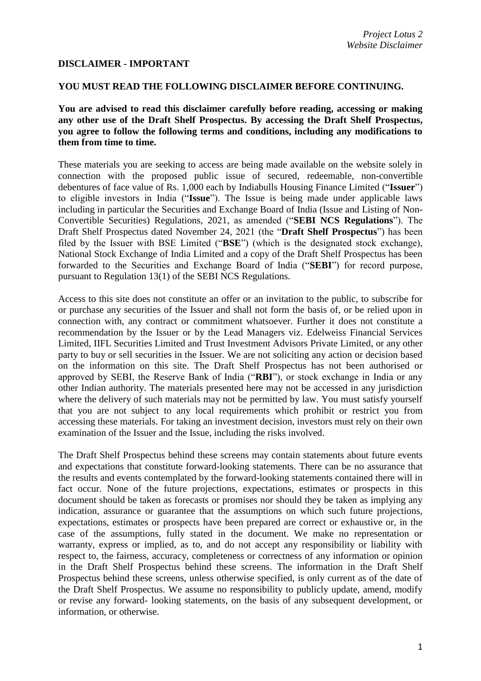## **DISCLAIMER - IMPORTANT**

## **YOU MUST READ THE FOLLOWING DISCLAIMER BEFORE CONTINUING.**

**You are advised to read this disclaimer carefully before reading, accessing or making any other use of the Draft Shelf Prospectus. By accessing the Draft Shelf Prospectus, you agree to follow the following terms and conditions, including any modifications to them from time to time.**

These materials you are seeking to access are being made available on the website solely in connection with the proposed public issue of secured, redeemable, non-convertible debentures of face value of Rs. 1,000 each by Indiabulls Housing Finance Limited ("**Issuer**") to eligible investors in India ("**Issue**"). The Issue is being made under applicable laws including in particular the Securities and Exchange Board of India (Issue and Listing of Non-Convertible Securities) Regulations, 2021, as amended ("**SEBI NCS Regulations**"). The Draft Shelf Prospectus dated November 24, 2021 (the "**Draft Shelf Prospectus**") has been filed by the Issuer with BSE Limited ("**BSE**") (which is the designated stock exchange), National Stock Exchange of India Limited and a copy of the Draft Shelf Prospectus has been forwarded to the Securities and Exchange Board of India ("**SEBI**") for record purpose, pursuant to Regulation 13(1) of the SEBI NCS Regulations.

Access to this site does not constitute an offer or an invitation to the public, to subscribe for or purchase any securities of the Issuer and shall not form the basis of, or be relied upon in connection with, any contract or commitment whatsoever. Further it does not constitute a recommendation by the Issuer or by the Lead Managers viz. Edelweiss Financial Services Limited, IIFL Securities Limited and Trust Investment Advisors Private Limited, or any other party to buy or sell securities in the Issuer. We are not soliciting any action or decision based on the information on this site. The Draft Shelf Prospectus has not been authorised or approved by SEBI, the Reserve Bank of India ("**RBI**"), or stock exchange in India or any other Indian authority. The materials presented here may not be accessed in any jurisdiction where the delivery of such materials may not be permitted by law. You must satisfy yourself that you are not subject to any local requirements which prohibit or restrict you from accessing these materials. For taking an investment decision, investors must rely on their own examination of the Issuer and the Issue, including the risks involved.

The Draft Shelf Prospectus behind these screens may contain statements about future events and expectations that constitute forward-looking statements. There can be no assurance that the results and events contemplated by the forward-looking statements contained there will in fact occur. None of the future projections, expectations, estimates or prospects in this document should be taken as forecasts or promises nor should they be taken as implying any indication, assurance or guarantee that the assumptions on which such future projections, expectations, estimates or prospects have been prepared are correct or exhaustive or, in the case of the assumptions, fully stated in the document. We make no representation or warranty, express or implied, as to, and do not accept any responsibility or liability with respect to, the fairness, accuracy, completeness or correctness of any information or opinion in the Draft Shelf Prospectus behind these screens. The information in the Draft Shelf Prospectus behind these screens, unless otherwise specified, is only current as of the date of the Draft Shelf Prospectus. We assume no responsibility to publicly update, amend, modify or revise any forward- looking statements, on the basis of any subsequent development, or information, or otherwise.